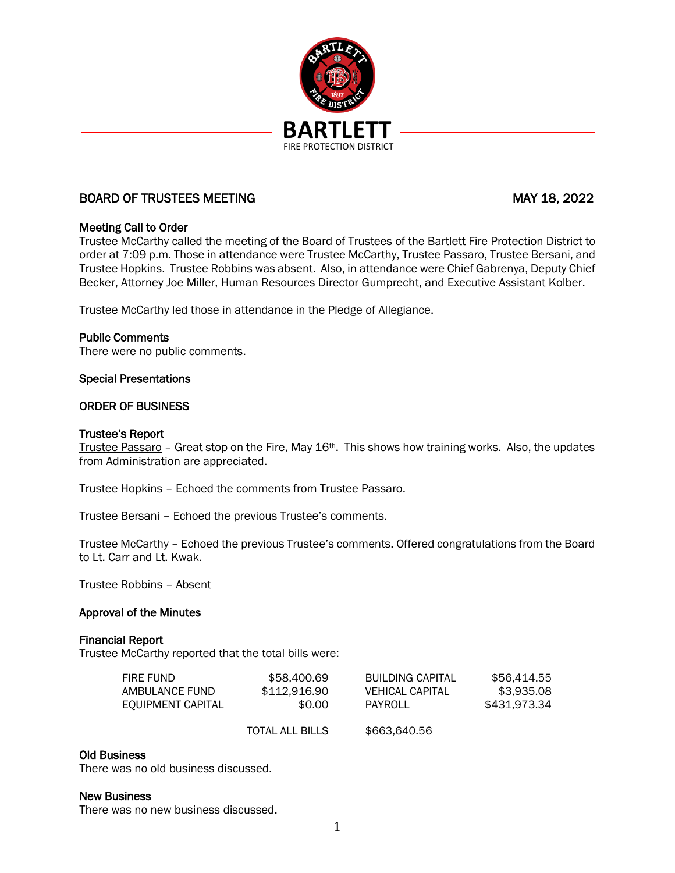

# BOARD OF TRUSTEES MEETING MAY 18, 2022

## Meeting Call to Order

Trustee McCarthy called the meeting of the Board of Trustees of the Bartlett Fire Protection District to order at 7:09 p.m. Those in attendance were Trustee McCarthy, Trustee Passaro, Trustee Bersani, and Trustee Hopkins. Trustee Robbins was absent. Also, in attendance were Chief Gabrenya, Deputy Chief Becker, Attorney Joe Miller, Human Resources Director Gumprecht, and Executive Assistant Kolber.

Trustee McCarthy led those in attendance in the Pledge of Allegiance.

### Public Comments

There were no public comments.

### Special Presentations

### ORDER OF BUSINESS

### Trustee's Report

Trustee Passaro - Great stop on the Fire, May  $16$ <sup>th</sup>. This shows how training works. Also, the updates from Administration are appreciated.

Trustee Hopkins – Echoed the comments from Trustee Passaro.

Trustee Bersani – Echoed the previous Trustee's comments.

Trustee McCarthy – Echoed the previous Trustee's comments. Offered congratulations from the Board to Lt. Carr and Lt. Kwak.

Trustee Robbins – Absent

## Approval of the Minutes

### Financial Report

Trustee McCarthy reported that the total bills were:

| FIRE FUND.        | \$58,400.69            | <b>BUILDING CAPITAL</b> | \$56.414.55  |
|-------------------|------------------------|-------------------------|--------------|
| AMBULANCE FUND    | \$112,916.90           | VEHICAL CAPITAL         | \$3.935.08   |
| EQUIPMENT CAPITAL | \$0.00                 | PAYROLL                 | \$431.973.34 |
|                   | <b>TOTAL ALL BILLS</b> | \$663,640.56            |              |

## Old Business

There was no old business discussed.

### New Business

There was no new business discussed.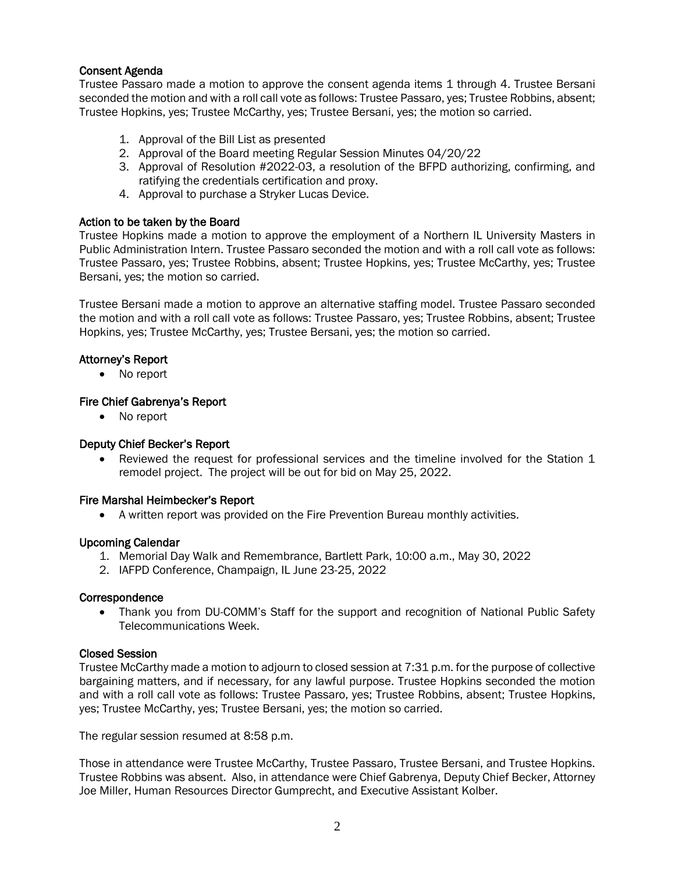## Consent Agenda

Trustee Passaro made a motion to approve the consent agenda items 1 through 4. Trustee Bersani seconded the motion and with a roll call vote as follows: Trustee Passaro, yes; Trustee Robbins, absent; Trustee Hopkins, yes; Trustee McCarthy, yes; Trustee Bersani, yes; the motion so carried.

- 1. Approval of the Bill List as presented
- 2. Approval of the Board meeting Regular Session Minutes 04/20/22
- 3. Approval of Resolution #2022-03, a resolution of the BFPD authorizing, confirming, and ratifying the credentials certification and proxy.
- 4. Approval to purchase a Stryker Lucas Device.

## Action to be taken by the Board

Trustee Hopkins made a motion to approve the employment of a Northern IL University Masters in Public Administration Intern. Trustee Passaro seconded the motion and with a roll call vote as follows: Trustee Passaro, yes; Trustee Robbins, absent; Trustee Hopkins, yes; Trustee McCarthy, yes; Trustee Bersani, yes; the motion so carried.

Trustee Bersani made a motion to approve an alternative staffing model. Trustee Passaro seconded the motion and with a roll call vote as follows: Trustee Passaro, yes; Trustee Robbins, absent; Trustee Hopkins, yes; Trustee McCarthy, yes; Trustee Bersani, yes; the motion so carried.

## Attorney's Report

• No report

### Fire Chief Gabrenya's Report

• No report

## Deputy Chief Becker's Report

Reviewed the request for professional services and the timeline involved for the Station 1 remodel project. The project will be out for bid on May 25, 2022.

## Fire Marshal Heimbecker's Report

• A written report was provided on the Fire Prevention Bureau monthly activities.

### Upcoming Calendar

- 1. Memorial Day Walk and Remembrance, Bartlett Park, 10:00 a.m., May 30, 2022
- 2. IAFPD Conference, Champaign, IL June 23-25, 2022

#### **Correspondence**

• Thank you from DU-COMM's Staff for the support and recognition of National Public Safety Telecommunications Week.

## Closed Session

Trustee McCarthy made a motion to adjourn to closed session at 7:31 p.m. for the purpose of collective bargaining matters, and if necessary, for any lawful purpose. Trustee Hopkins seconded the motion and with a roll call vote as follows: Trustee Passaro, yes; Trustee Robbins, absent; Trustee Hopkins, yes; Trustee McCarthy, yes; Trustee Bersani, yes; the motion so carried.

The regular session resumed at 8:58 p.m.

Those in attendance were Trustee McCarthy, Trustee Passaro, Trustee Bersani, and Trustee Hopkins. Trustee Robbins was absent. Also, in attendance were Chief Gabrenya, Deputy Chief Becker, Attorney Joe Miller, Human Resources Director Gumprecht, and Executive Assistant Kolber.